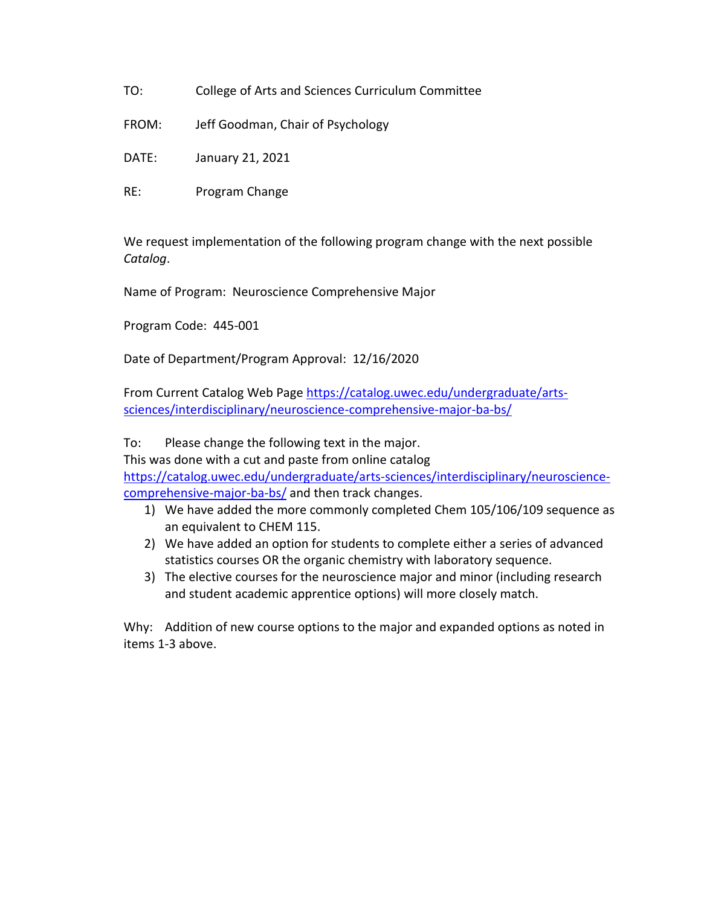- TO: College of Arts and Sciences Curriculum Committee
- FROM: Jeff Goodman, Chair of Psychology
- DATE: January 21, 2021
- RE: Program Change

We request implementation of the following program change with the next possible *Catalog*.

Name of Program: Neuroscience Comprehensive Major

Program Code: 445-001

Date of Department/Program Approval: 12/16/2020

From Current Catalog Web Page [https://catalog.uwec.edu/undergraduate/arts](https://catalog.uwec.edu/undergraduate/arts-sciences/interdisciplinary/neuroscience-comprehensive-major-ba-bs/)[sciences/interdisciplinary/neuroscience-comprehensive-major-ba-bs/](https://catalog.uwec.edu/undergraduate/arts-sciences/interdisciplinary/neuroscience-comprehensive-major-ba-bs/)

To: Please change the following text in the major.

This was done with a cut and paste from online catalog

[https://catalog.uwec.edu/undergraduate/arts-sciences/interdisciplinary/neuroscience](https://catalog.uwec.edu/undergraduate/arts-sciences/interdisciplinary/neuroscience-comprehensive-major-ba-bs/)[comprehensive-major-ba-bs/](https://catalog.uwec.edu/undergraduate/arts-sciences/interdisciplinary/neuroscience-comprehensive-major-ba-bs/) and then track changes.

- 1) We have added the more commonly completed Chem 105/106/109 sequence as an equivalent to CHEM 115.
- 2) We have added an option for students to complete either a series of advanced statistics courses OR the organic chemistry with laboratory sequence.
- 3) The elective courses for the neuroscience major and minor (including research and student academic apprentice options) will more closely match.

Why: Addition of new course options to the major and expanded options as noted in items 1-3 above.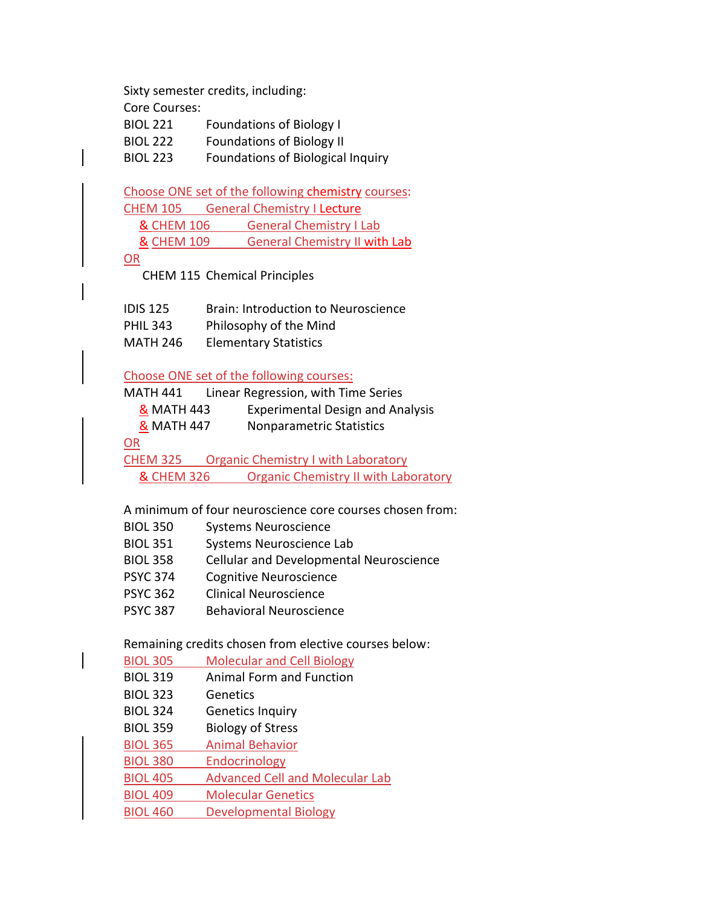Sixty semester credits, including: Core Courses: BIOL 221 Foundations of Biology I BIOL 222 Foundations of Biology II BIOL 223 Foundations of Biological Inquiry

Choose ONE set of the following chemistry courses: CHEM 105 General Chemistry I Lecture & CHEM 106 General Chemistry I Lab & CHEM 109 General Chemistry II with Lab OR

CHEM 115 Chemical Principles

| <b>IDIS 125</b> | <b>Brain: Introduction to Neuroscience</b> |
|-----------------|--------------------------------------------|
| <b>PHIL 343</b> | Philosophy of the Mind                     |
| <b>MATH 246</b> | <b>Elementary Statistics</b>               |

Choose ONE set of the following courses:

| MATH 441              | Linear Regression, with Time Series         |
|-----------------------|---------------------------------------------|
| & MATH 443            | <b>Experimental Design and Analysis</b>     |
| <b>&amp; MATH 447</b> | Nonparametric Statistics                    |
| OR                    |                                             |
| <b>CHEM 325</b>       | <b>Organic Chemistry I with Laboratory</b>  |
| <b>&amp; CHEM 326</b> | <b>Organic Chemistry II with Laboratory</b> |

A minimum of four neuroscience core courses chosen from:

| <b>BIOL 350</b> | <b>Systems Neuroscience</b> |
|-----------------|-----------------------------|
|-----------------|-----------------------------|

- BIOL 351 Systems Neuroscience Lab
- BIOL 358 Cellular and Developmental Neuroscience
- PSYC 374 Cognitive Neuroscience
- PSYC 362 Clinical Neuroscience
- PSYC 387 Behavioral Neuroscience

Remaining credits chosen from elective courses below:

| <b>BIOL 305</b> | <b>Molecular and Cell Biology</b>      |
|-----------------|----------------------------------------|
| <b>BIOL 319</b> | Animal Form and Function               |
| <b>BIOL 323</b> | Genetics                               |
| <b>BIOL 324</b> | <b>Genetics Inquiry</b>                |
| <b>BIOL 359</b> | <b>Biology of Stress</b>               |
| <b>BIOL 365</b> | <b>Animal Behavior</b>                 |
| <b>BIOL 380</b> | Endocrinology                          |
| <b>BIOL 405</b> | <b>Advanced Cell and Molecular Lab</b> |
| <b>BIOL 409</b> | <b>Molecular Genetics</b>              |
| <b>BIOL 460</b> | <b>Developmental Biology</b>           |
|                 |                                        |